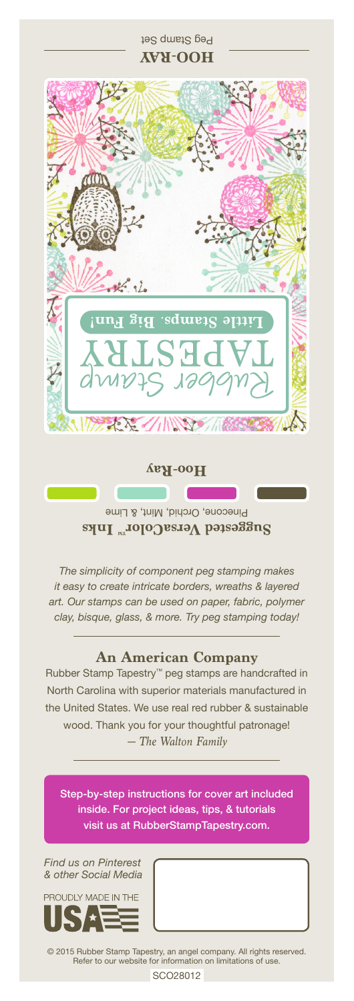**HOO-RAY**  $\frac{1}{2}$ tamps. Big FOR SILINGER

Peg Stamp Set

**Hoo-Ray**

Pinecone, Orchid, Mint, & Lime **Suggested VersaColor** Inks

*The simplicity of component peg stamping makes it easy to create intricate borders, wreaths & layered art. Our stamps can be used on paper, fabric, polymer clay, bisque, glass, & more. Try peg stamping today!*

## **An American Company**

*— The Walton Family* Rubber Stamp Tapestry™ peg stamps are handcrafted in North Carolina with superior materials manufactured in the United States. We use real red rubber & sustainable wood. Thank you for your thoughtful patronage!

Step-by-step instructions for cover art included inside. For project ideas, tips, & tutorials visit us at RubberStampTapestry.com.

*Find us on Pinterest & other Social Media*



© 2015 Rubber Stamp Tapestry, an angel company. All rights reserved. Refer to our website for information on limitations of use.